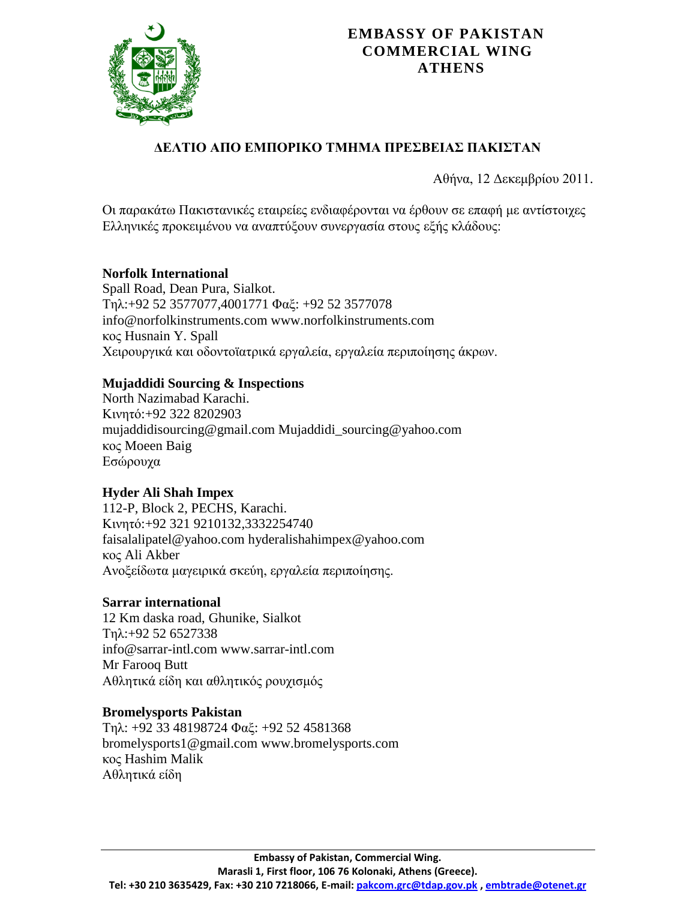

# ΔΕΛΤΙΟ ΑΠΟ ΕΜΠΟΡΙΚΟ ΤΜΗΜΑ ΠΡΕΣΒΕΙΑΣ ΠΑΚΙΣΤΑΝ

Αθήνα, 12 Δεκεμβρίου 2011.

Οι παρακάτω Πακιστανικές εταιρείες ενδιαφέρονται να έρθουν σε επαφή με αντίστοιχες Ελληνικές προκειμένου να αναπτύξουν συνεργασία στους εξής κλάδους:

### **Norfolk International**

Spall Road, Dean Pura, Sialkot. Τει:+92 52 3577077,4001771 Φαμ: +92 52 3577078 info@norfolkinstruments.com [www.norfolkinstruments.com](http://www.norfolkinstruments.com/) κος Husnain Y. Spall Χειρουργικά και οδοντοϊατρικά εργαλεία, εργαλεία περιποίησης άκρων.

### **Mujaddidi Sourcing & Inspections**

North Nazimabad Karachi. Κηλεηό:+92 322 8202903 mujaddidisourcing@gmail.com Mujaddidi\_sourcing@yahoo.com κος Moeen Baig Εσώρουχα

# **Hyder Ali Shah Impex**

112-P, Block 2, PECHS, Karachi. Κηλεηό:+92 321 9210132,3332254740 faisalalipatel@yahoo.com [hyderalishahimpex@yahoo.com](mailto:hyderalishahimpex@yahoo.com) κος Ali Akber Ανοξείδωτα μαγειρικά σκεύη, εργαλεία περιποίησης.

#### **Sarrar international**

12 Km daska road, Ghunike, Sialkot  $Tnλ:=92526527338$ [info@sarrar-intl.com](mailto:info@sarrar-intl.com) www.sarrar-intl.com Mr Farooq Butt Αθλητικά είδη και αθλητικός ρουχισμός

#### **Bromelysports Pakistan**

Τηλ: +92 33 48198724 Φαξ: +92 52 4581368 bromelysports1@gmail.com [www.bromelysports.com](http://www.bromelysports.com/) κος Hashim Malik Αθλητικά είδη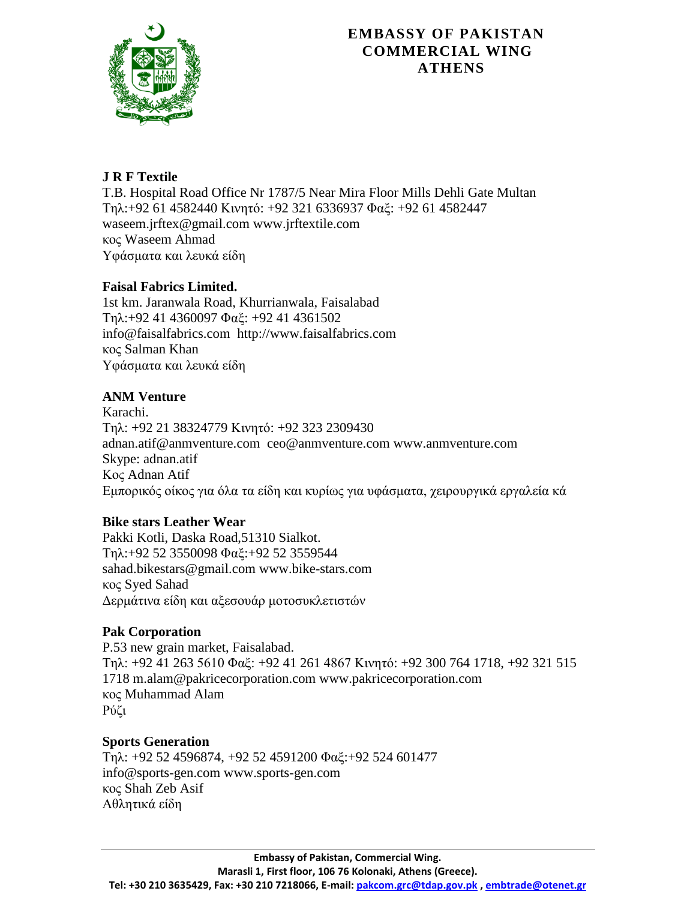

# **J R F Textile**

T.B. Hospital Road Office Nr 1787/5 Near Mira Floor Mills Dehli Gate Multan Τηλ:+92 61 4582440 Κινητό: +92 321 6336937 Φαξ: +92 61 4582447 waseem.jrftex@gmail.com [www.jrftextile.com](http://www.jrftextile.com/) κος Waseem Ahmad Υφάσματα και λευκά είδη

# **Faisal Fabrics Limited.**

1st km. Jaranwala Road, Khurrianwala, Faisalabad Τηλ:+92 41 4360097 Φαξ: +92 41 4361502 [info@faisalfabrics.com](mailto:info@faisalfabrics.com) http://www.faisalfabrics.com κος Salman Khan Υφάσματα και λευκά είδη

# **ANM Venture**

Karachi. Τηλ: +92 21 38324779 Κινητό: +92 323 2309430 adnan.atif@anmventure.com [ceo@anmventure.com](mailto:ceo@anmventure.com) www.anmventure.com Skype: adnan.atif Κος Adnan Atif Εμπορικός οίκος για όλα τα είδη και κυρίως για υφάσματα, χειρουργικά εργαλεία κά

# **Bike stars Leather Wear**

Pakki Kotli, Daska Road,51310 Sialkot. Τει:+92 52 3550098 Φαμ:+92 52 3559544 sahad.bikestars@gmail.com www.bike-stars.com κος Syed Sahad Δερμάτινα είδη και αξεσουάρ μοτοσυκλετιστών

# **Pak Corporation**

P.53 new grain market, Faisalabad. Tηλ: +92 41 263 5610 Φαξ: +92 41 261 4867 Κινητό: +92 300 764 1718, +92 321 515 1718 m.alam@pakricecorporation.com [www.pakricecorporation.com](http://www.pakricecorporation.com/) κος Muhammad Alam Ρύζι

# **Sports Generation**

Τηλ: +92 52 4596874, +92 52 4591200 Φαξ: +92 524 601477 info@sports-gen.com www.sports-gen.com κος Shah Zeb Asif Αθλητικά είδη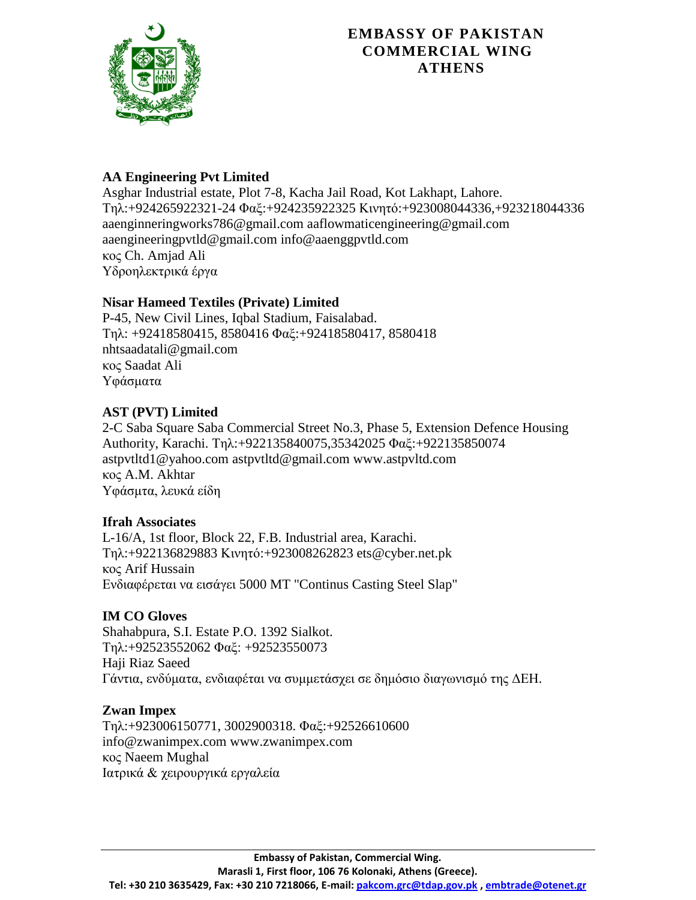

# **AA Engineering Pvt Limited**

Asghar Industrial estate, Plot 7-8, Kacha Jail Road, Kot Lakhapt, Lahore. Τει:+924265922321-24 Φαμ:+924235922325 Κηλεηό:+923008044336,+923218044336 aaenginneringworks786@gmail.com [aaflowmaticengineering@gmail.com](mailto:aaflowmaticengineering@gmail.com) aaengineeringpvtld@gmail.com [info@aaenggpvtld.com](mailto:info@aaenggpvtld.com) κος Ch. Amjad Ali Υδροηλεκτρικά έργα

### **Nisar Hameed Textiles (Private) Limited**

P-45, New Civil Lines, Iqbal Stadium, Faisalabad. Τει: +92418580415, 8580416 Φαμ:+92418580417, 8580418 nhtsaadatali@gmail.com κος Saadat Ali Υφάσματα

#### **AST (PVT) Limited**

2-C Saba Square Saba Commercial Street No.3, Phase 5, Extension Defence Housing Authority, Karachi. Τηλ:+922135840075,35342025 Φαξ:+922135850074 astpvtltd1@yahoo.com astpvtltd@gmail.com [www.astpvltd.com](http://www.astpvltd.com/) κος A.M. Akhtar Υφάσμτα, λευκά είδη

#### **Ifrah Associates**

L-16/A, 1st floor, Block 22, F.B. Industrial area, Karachi. Τει:+922136829883 Κηλεηό:+923008262823 [ets@cyber.net.pk](mailto:ets@cyber.net.pk) κος Arif Hussain Ελδηαθέξεηαη λα εηζάγεη 5000 MT "Continus Casting Steel Slap"

#### **IM CO Gloves**

Shahabpura, S.I. Estate P.O. 1392 Sialkot. Τει:+92523552062 Φαμ: +92523550073 Haji Riaz Saeed Γάντια, ενδύματα, ενδιαφέται να συμμετάσχει σε δημόσιο διαγωνισμό της ΔΕΗ.

#### **Zwan Impex**

Τει:+923006150771, 3002900318. Φαμ:+92526610600 info@zwanimpex.com [www.zwanimpex.com](http://www.zwanimpex.com/) κος Naeem Mughal Ιατρικά & χειρουργικά εργαλεία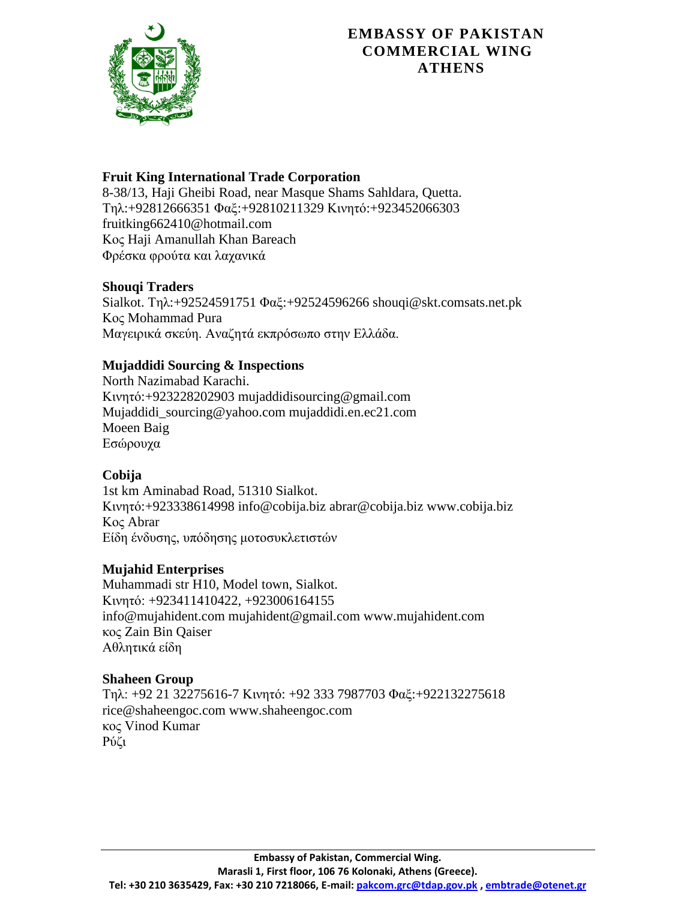

### **Fruit King International Trade Corporation**

8-38/13, Haji Gheibi Road, near Masque Shams Sahldara, Quetta. Τηλ:+92812666351 Φαξ:+92810211329 Κινητό:+923452066303 [fruitking662410@hotmail.com](mailto:fruitking662410@hotmail.com) Κος Haji Amanullah Khan Bareach Φρέσκα φρούτα και λαχανικά

#### **Shouqi Traders**

Sialkot. Τηλ:+92524591751 Φαξ:+92524596266 [shouqi@skt.comsats.net.pk](mailto:shouqi@skt.comsats.net.pk) Κος Mohammad Pura Μαγειρικά σκεύη. Αναζητά εκπρόσωπο στην Ελλάδα.

# **Mujaddidi Sourcing & Inspections**

North Nazimabad Karachi. Κηλεηό:+923228202903 mujaddidisourcing@gmail.com Mujaddidi\_sourcing@yahoo.com mujaddidi.en.ec21.com Moeen Baig Εσώρουχα

# **Cobija**

1st km Aminabad Road, 51310 Sialkot. Κηλεηό:+923338614998 info@cobija.biz abrar@cobija.biz www.cobija.biz Κος Abrar Είδη ένδυσης, υπόδησης μοτοσυκλετιστών

# **Mujahid Enterprises**

Muhammadi str H10, Model town, Sialkot. Κηλεηό: +923411410422, +923006164155 info@mujahident.com mujahident@gmail.com www.mujahident.com κος Zain Bin Qaiser Αθλητικά είδη

#### **Shaheen Group**

 $Tn\lambda$ : +92 21 32275616-7 Κινητό: +92 333 7987703 Φαξ:+922132275618 [rice@shaheengoc.com](mailto:rice@shaheengoc.com) [www.shaheengoc.com](http://www.shaheengoc.com/) κος Vinod Kumar Ρύζι